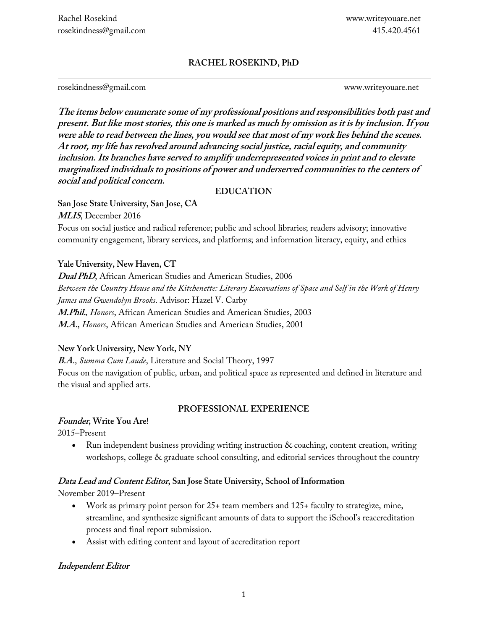## **RACHEL ROSEKIND, PhD**

rosekindness@gmail.com www.writeyouare.net

**The items below enumerate some of my professional positions and responsibilities both past and present. But like most stories, this one is marked as much by omission as it is by inclusion. If you were able to read between the lines, you would see that most of my work lies behind the scenes. At root, my life has revolved around advancing social justice, racial equity, and community inclusion. Its branches have served to amplify underrepresented voices in print and to elevate marginalized individuals to positions of power and underserved communities to the centers of social and political concern.**

#### **EDUCATION**

**San Jose State University, San Jose, CA MLIS**, December 2016

Focus on social justice and radical reference; public and school libraries; readers advisory; innovative community engagement, library services, and platforms; and information literacy, equity, and ethics

## **Yale University, New Haven, CT**

**Dual PhD**, African American Studies and American Studies, 2006 *Between the Country House and the Kitchenette: Literary Excavations of Space and Self in the Work of Henry James and Gwendolyn Brooks*. Advisor: Hazel V. Carby **M.Phil.***, Honors*, African American Studies and American Studies, 2003 **M.A.**, *Honors*, African American Studies and American Studies, 2001

## **New York University, New York, NY**

**B.A.**, *Summa Cum Laude*, Literature and Social Theory, 1997

Focus on the navigation of public, urban, and political space as represented and defined in literature and the visual and applied arts.

## **PROFESSIONAL EXPERIENCE**

## **Founder, Write You Are!**

2015–Present

• Run independent business providing writing instruction & coaching, content creation, writing workshops, college & graduate school consulting, and editorial services throughout the country

## **Data Lead and Content Editor, San Jose State University, School of Information**

November 2019–Present

- Work as primary point person for 25+ team members and 125+ faculty to strategize, mine, streamline, and synthesize significant amounts of data to support the iSchool's reaccreditation process and final report submission.
- Assist with editing content and layout of accreditation report

## **Independent Editor**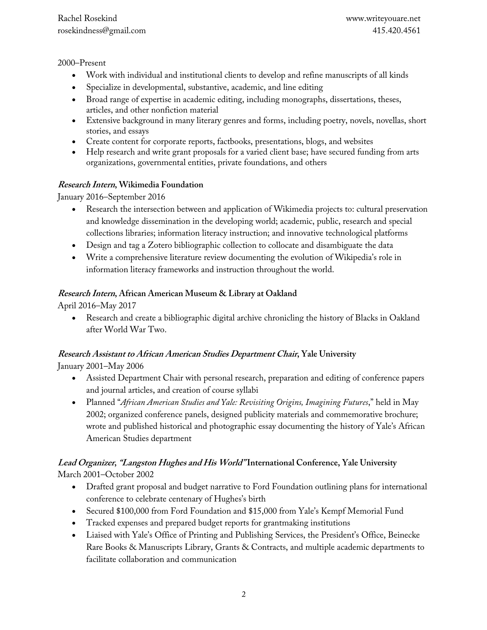#### 2000–Present

- Work with individual and institutional clients to develop and refine manuscripts of all kinds
- Specialize in developmental, substantive, academic, and line editing
- Broad range of expertise in academic editing, including monographs, dissertations, theses, articles, and other nonfiction material
- Extensive background in many literary genres and forms, including poetry, novels, novellas, short stories, and essays
- Create content for corporate reports, factbooks, presentations, blogs, and websites
- Help research and write grant proposals for a varied client base; have secured funding from arts organizations, governmental entities, private foundations, and others

## **Research Intern, Wikimedia Foundation**

January 2016–September 2016

- Research the intersection between and application of Wikimedia projects to: cultural preservation and knowledge dissemination in the developing world; academic, public, research and special collections libraries; information literacy instruction; and innovative technological platforms
- Design and tag a Zotero bibliographic collection to collocate and disambiguate the data
- Write a comprehensive literature review documenting the evolution of Wikipedia's role in information literacy frameworks and instruction throughout the world.

## **Research Intern, African American Museum & Library at Oakland**

April 2016–May 2017

• Research and create a bibliographic digital archive chronicling the history of Blacks in Oakland after World War Two.

# **Research Assistant to African American Studies Department Chair, Yale University**

January 2001–May 2006

- Assisted Department Chair with personal research, preparation and editing of conference papers and journal articles, and creation of course syllabi
- Planned "*African American Studies and Yale: Revisiting Origins, Imagining Futures*," held in May 2002; organized conference panels, designed publicity materials and commemorative brochure; wrote and published historical and photographic essay documenting the history of Yale's African American Studies department

## **Lead Organizer, "Langston Hughes and His World" International Conference, Yale University** March 2001–October 2002

- Drafted grant proposal and budget narrative to Ford Foundation outlining plans for international conference to celebrate centenary of Hughes's birth
- Secured \$100,000 from Ford Foundation and \$15,000 from Yale's Kempf Memorial Fund
- Tracked expenses and prepared budget reports for grantmaking institutions
- Liaised with Yale's Office of Printing and Publishing Services, the President's Office, Beinecke Rare Books & Manuscripts Library, Grants & Contracts, and multiple academic departments to facilitate collaboration and communication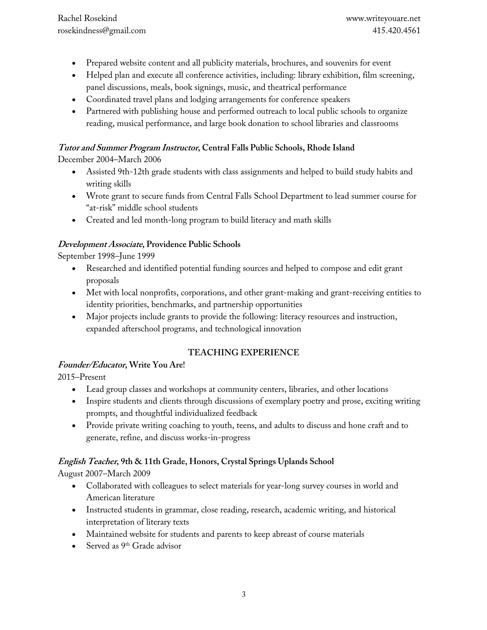- Prepared website content and all publicity materials, brochures, and souvenirs for event
- Helped plan and execute all conference activities, including: library exhibition, film screening, panel discussions, meals, book signings, music, and theatrical performance
- Coordinated travel plans and lodging arrangements for conference speakers
- Partnered with publishing house and performed outreach to local public schools to organize reading, musical performance, and large book donation to school libraries and classrooms

## **Tutor and Summer Program Instructor, Central Falls Public Schools, Rhode Island**

December 2004–March 2006

- Assisted 9th-12th grade students with class assignments and helped to build study habits and writing skills
- Wrote grant to secure funds from Central Falls School Department to lead summer course for "at-risk" middle school students
- Created and led month-long program to build literacy and math skills

## **Development Associate, Providence Public Schools**

September 1998–June 1999

- Researched and identified potential funding sources and helped to compose and edit grant proposals
- Met with local nonprofits, corporations, and other grant-making and grant-receiving entities to identity priorities, benchmarks, and partnership opportunities
- Major projects include grants to provide the following: literacy resources and instruction, expanded afterschool programs, and technological innovation

## **TEACHING EXPERIENCE**

## **Founder/Educator, Write You Are!**

2015–Present

- Lead group classes and workshops at community centers, libraries, and other locations
- Inspire students and clients through discussions of exemplary poetry and prose, exciting writing prompts, and thoughtful individualized feedback
- Provide private writing coaching to youth, teens, and adults to discuss and hone craft and to generate, refine, and discuss works-in-progress

## **English Teacher, 9th & 11th Grade, Honors, Crystal Springs Uplands School**

August 2007–March 2009

- Collaborated with colleagues to select materials for year-long survey courses in world and American literature
- Instructed students in grammar, close reading, research, academic writing, and historical interpretation of literary texts
- Maintained website for students and parents to keep abreast of course materials
- Served as 9<sup>th</sup> Grade advisor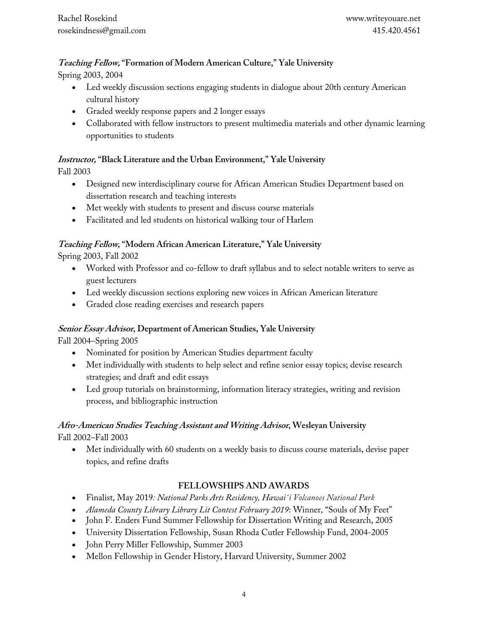#### **Teaching Fellow, "Formation of Modern American Culture," Yale University**

Spring 2003, 2004

- Led weekly discussion sections engaging students in dialogue about 20th century American cultural history
- Graded weekly response papers and 2 longer essays
- Collaborated with fellow instructors to present multimedia materials and other dynamic learning opportunities to students

## **Instructor, "Black Literature and the Urban Environment," Yale University**

Fall 2003

- Designed new interdisciplinary course for African American Studies Department based on dissertation research and teaching interests
- Met weekly with students to present and discuss course materials
- Facilitated and led students on historical walking tour of Harlem

## **Teaching Fellow, "Modern African American Literature," Yale University**

Spring 2003, Fall 2002

- Worked with Professor and co-fellow to draft syllabus and to select notable writers to serve as guest lecturers
- Led weekly discussion sections exploring new voices in African American literature
- Graded close reading exercises and research papers

#### **Senior Essay Advisor, Department of American Studies, Yale University**

Fall 2004–Spring 2005

- Nominated for position by American Studies department faculty
- Met individually with students to help select and refine senior essay topics; devise research strategies; and draft and edit essays
- Led group tutorials on brainstorming, information literacy strategies, writing and revision process, and bibliographic instruction

## **Afro-American Studies Teaching Assistant and Writing Advisor, Wesleyan University**

Fall 2002–Fall 2003

• Met individually with 60 students on a weekly basis to discuss course materials, devise paper topics, and refine drafts

## **FELLOWSHIPS AND AWARDS**

- Finalist, May 2019*: National Parks Arts Residency, Hawaiʻi Volcanoes National Park*
- *Alameda County Library Library Lit Contest February 2019*: Winner, "Souls of My Feet"
- John F. Enders Fund Summer Fellowship for Dissertation Writing and Research, 2005
- University Dissertation Fellowship, Susan Rhoda Cutler Fellowship Fund, 2004-2005
- John Perry Miller Fellowship, Summer 2003
- Mellon Fellowship in Gender History, Harvard University, Summer 2002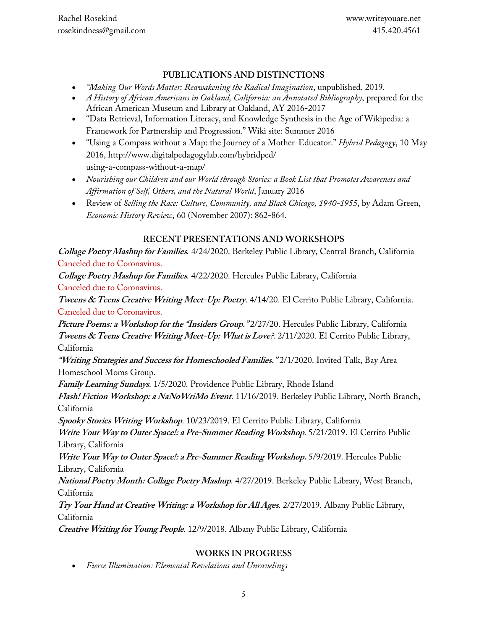#### **PUBLICATIONS AND DISTINCTIONS**

- *"Making Our Words Matter: Reawakening the Radical Imagination*, unpublished. 2019.
- *A History of African Americans in Oakland, California: an Annotated Bibliography*, prepared for the African American Museum and Library at Oakland, AY 2016-2017
- "Data Retrieval, Information Literacy, and Knowledge Synthesis in the Age of Wikipedia: a Framework for Partnership and Progression." Wiki site: Summer 2016
- "Using a Compass without a Map: the Journey of a Mother-Educator." *Hybrid Pedagogy*, 10 May 2016, http://www.digitalpedagogylab.com/hybridped/ using-a-compass-without-a-map/
- *Nourishing our Children and our World through Stories: a Book List that Promotes Awareness and Affirmation of Self, Others, and the Natural World*, January 2016
- Review of *Selling the Race: Culture, Community, and Black Chicago, 1940-1955*, by Adam Green, *Economic History Review*, 60 (November 2007): 862-864.

## **RECENT PRESENTATIONS AND WORKSHOPS**

**Collage Poetry Mashup for Families**. 4/24/2020. Berkeley Public Library, Central Branch, California Canceled due to Coronavirus.

**Collage Poetry Mashup for Families**. 4/22/2020. Hercules Public Library, California Canceled due to Coronavirus.

**Tweens & Teens Creative Writing Meet-Up: Poetry**. 4/14/20. El Cerrito Public Library, California. Canceled due to Coronavirus.

**Picture Poems: a Workshop for the "Insiders Group."** 2/27/20. Hercules Public Library, California **Tweens & Teens Creative Writing Meet-Up: What is Love?**. 2/11/2020. El Cerrito Public Library, California

**"Writing Strategies and Success for Homeschooled Families."** 2/1/2020. Invited Talk, Bay Area Homeschool Moms Group.

**Family Learning Sundays**. 1/5/2020. Providence Public Library, Rhode Island

**Flash! Fiction Workshop: a NaNoWriMo Event**. 11/16/2019. Berkeley Public Library, North Branch, California

**Spooky Stories Writing Workshop**. 10/23/2019. El Cerrito Public Library, California

**Write Your Way to Outer Space!: a Pre-Summer Reading Workshop**. 5/21/2019. El Cerrito Public Library, California

**Write Your Way to Outer Space!: a Pre-Summer Reading Workshop.** 5/9/2019. Hercules Public Library, California

**National Poetry Month: Collage Poetry Mashup**. 4/27/2019. Berkeley Public Library, West Branch, California

**Try Your Hand at Creative Writing: a Workshop for All Ages**. 2/27/2019. Albany Public Library, California

**Creative Writing for Young People**. 12/9/2018. Albany Public Library, California

## **WORKS IN PROGRESS**

• *Fierce Illumination: Elemental Revelations and Unravelings*